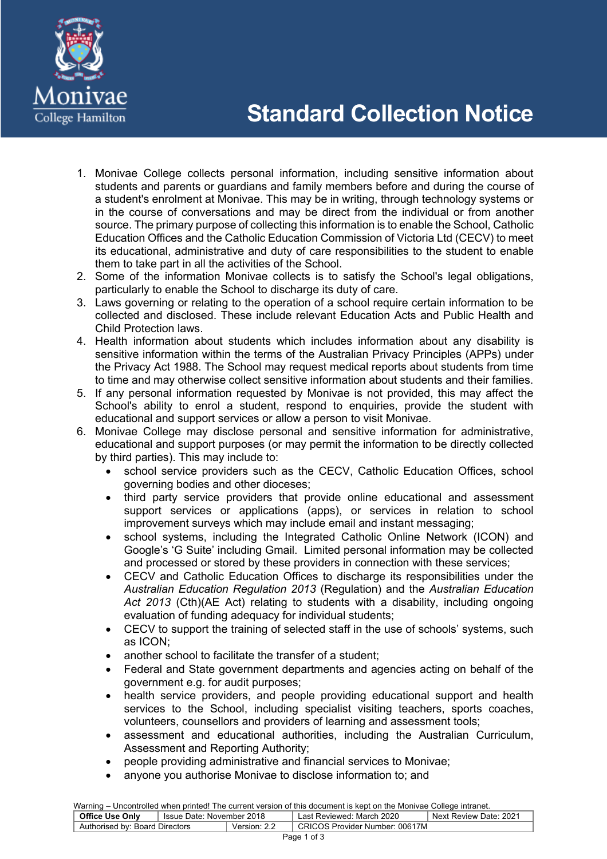

- 1. Monivae College collects personal information, including sensitive information about students and parents or guardians and family members before and during the course of a student's enrolment at Monivae. This may be in writing, through technology systems or in the course of conversations and may be direct from the individual or from another source. The primary purpose of collecting this information is to enable the School, Catholic Education Offices and the Catholic Education Commission of Victoria Ltd (CECV) to meet its educational, administrative and duty of care responsibilities to the student to enable them to take part in all the activities of the School.
- 2. Some of the information Monivae collects is to satisfy the School's legal obligations, particularly to enable the School to discharge its duty of care.
- 3. Laws governing or relating to the operation of a school require certain information to be collected and disclosed. These include relevant Education Acts and Public Health and Child Protection laws.
- 4. Health information about students which includes information about any disability is sensitive information within the terms of the Australian Privacy Principles (APPs) under the Privacy Act 1988. The School may request medical reports about students from time to time and may otherwise collect sensitive information about students and their families.
- 5. If any personal information requested by Monivae is not provided, this may affect the School's ability to enrol a student, respond to enquiries, provide the student with educational and support services or allow a person to visit Monivae.
- 6. Monivae College may disclose personal and sensitive information for administrative, educational and support purposes (or may permit the information to be directly collected by third parties). This may include to:
	- school service providers such as the CECV, Catholic Education Offices, school governing bodies and other dioceses;
	- third party service providers that provide online educational and assessment support services or applications (apps), or services in relation to school improvement surveys which may include email and instant messaging;
	- school systems, including the Integrated Catholic Online Network (ICON) and Google's 'G Suite' including Gmail. Limited personal information may be collected and processed or stored by these providers in connection with these services;
	- CECV and Catholic Education Offices to discharge its responsibilities under the *Australian Education Regulation 2013* (Regulation) and the *Australian Education Act 2013* (Cth)(AE Act) relating to students with a disability, including ongoing evaluation of funding adequacy for individual students;
	- CECV to support the training of selected staff in the use of schools' systems, such as ICON;
	- another school to facilitate the transfer of a student;
	- Federal and State government departments and agencies acting on behalf of the government e.g. for audit purposes;
	- health service providers, and people providing educational support and health services to the School, including specialist visiting teachers, sports coaches, volunteers, counsellors and providers of learning and assessment tools;
	- assessment and educational authorities, including the Australian Curriculum, Assessment and Reporting Authority;
	- people providing administrative and financial services to Monivae;
	- anyone you authorise Monivae to disclose information to; and

Warning – Uncontrolled when printed! The current version of this document is kept on the Monivae College intranet. **Office Use Only** | Issue Date: November 2018 | Last Reviewed: March 2020 | Next Review Date: 2021 Authorised by: Board Directors Version: 2.2 CRICOS Provider Number: 00617M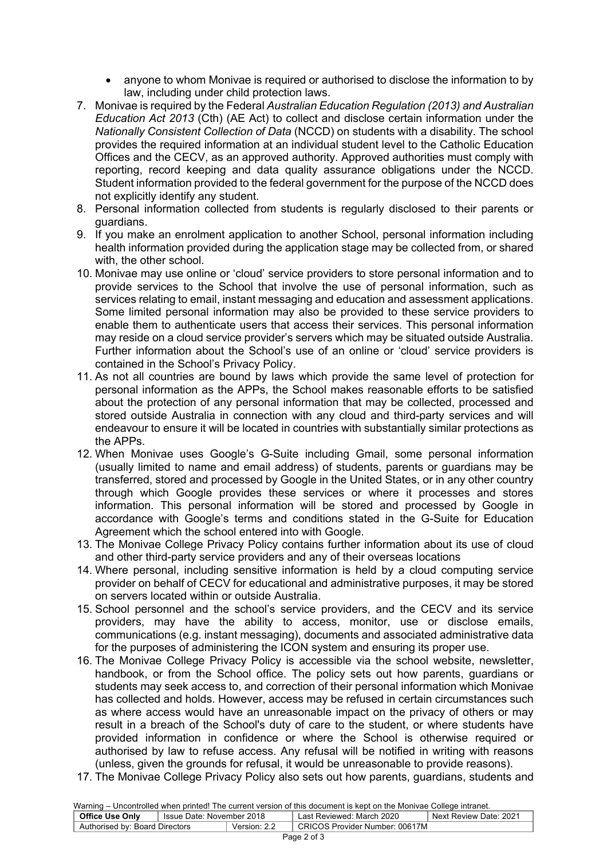- anyone to whom Monivae is required or authorised to disclose the information to by law, including under child protection laws.
- 7. Monivae is required by the Federal *Australian Education Regulation (2013) and Australian Education Act 2013* (Cth) (AE Act) to collect and disclose certain information under the *Nationally Consistent Collection of Data* (NCCD) on students with a disability. The school provides the required information at an individual student level to the Catholic Education Offices and the CECV, as an approved authority. Approved authorities must comply with reporting, record keeping and data quality assurance obligations under the NCCD. Student information provided to the federal government for the purpose of the NCCD does not explicitly identify any student.
- 8. Personal information collected from students is regularly disclosed to their parents or guardians.
- 9. If you make an enrolment application to another School, personal information including health information provided during the application stage may be collected from, or shared with, the other school.
- 10. Monivae may use online or 'cloud' service providers to store personal information and to provide services to the School that involve the use of personal information, such as services relating to email, instant messaging and education and assessment applications. Some limited personal information may also be provided to these service providers to enable them to authenticate users that access their services. This personal information may reside on a cloud service provider's servers which may be situated outside Australia. Further information about the School's use of an online or 'cloud' service providers is contained in the School's Privacy Policy.
- 11. As not all countries are bound by laws which provide the same level of protection for personal information as the APPs, the School makes reasonable efforts to be satisfied about the protection of any personal information that may be collected, processed and stored outside Australia in connection with any cloud and third-party services and will endeavour to ensure it will be located in countries with substantially similar protections as the APPs.
- 12. When Monivae uses Google's G-Suite including Gmail, some personal information (usually limited to name and email address) of students, parents or guardians may be transferred, stored and processed by Google in the United States, or in any other country through which Google provides these services or where it processes and stores information. This personal information will be stored and processed by Google in accordance with Google's terms and conditions stated in the G-Suite for Education Agreement which the school entered into with Google.
- 13. The Monivae College Privacy Policy contains further information about its use of cloud and other third-party service providers and any of their overseas locations
- 14. Where personal, including sensitive information is held by a cloud computing service provider on behalf of CECV for educational and administrative purposes, it may be stored on servers located within or outside Australia.
- 15. School personnel and the school's service providers, and the CECV and its service providers, may have the ability to access, monitor, use or disclose emails, communications (e.g. instant messaging), documents and associated administrative data for the purposes of administering the ICON system and ensuring its proper use.
- 16. The Monivae College Privacy Policy is accessible via the school website, newsletter, handbook, or from the School office. The policy sets out how parents, guardians or students may seek access to, and correction of their personal information which Monivae has collected and holds. However, access may be refused in certain circumstances such as where access would have an unreasonable impact on the privacy of others or may result in a breach of the School's duty of care to the student, or where students have provided information in confidence or where the School is otherwise required or authorised by law to refuse access. Any refusal will be notified in writing with reasons (unless, given the grounds for refusal, it would be unreasonable to provide reasons).
- 17. The Monivae College Privacy Policy also sets out how parents, guardians, students and

Warning – Uncontrolled when printed! The current version of this document is kept on the Monivae College intranet.

| <b>Office Use Only</b>         | Issue Date: November 2018 |              | Last Reviewed: March 2020      | Next Review Date: 2021 |
|--------------------------------|---------------------------|--------------|--------------------------------|------------------------|
| Authorised by: Board Directors |                           | Version: 2.2 | CRICOS Provider Number: 00617M |                        |